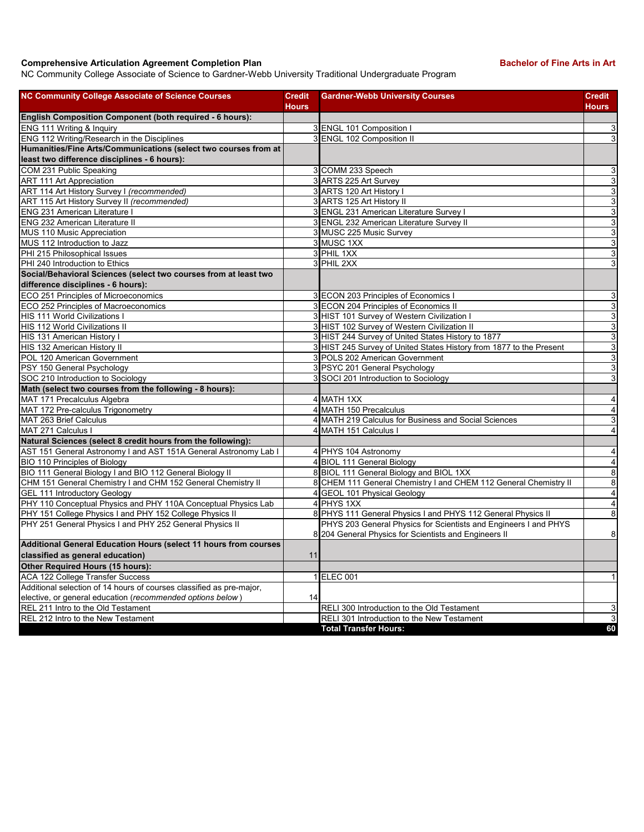## **Comprehensive Articulation Agreement Completion Plan Bachelor of Fine Arts in Art Bachelor of Fine Arts in Art**

NC Community College Associate of Science to Gardner-Webb University Traditional Undergraduate Program

| <b>NC Community College Associate of Science Courses</b>             | <b>Credit</b><br><b>Hours</b> | <b>Gardner-Webb University Courses</b>                              | <b>Credit</b><br><b>Hours</b> |
|----------------------------------------------------------------------|-------------------------------|---------------------------------------------------------------------|-------------------------------|
| English Composition Component (both required - 6 hours):             |                               |                                                                     |                               |
| ENG 111 Writing & Inquiry                                            |                               | 3 ENGL 101 Composition I                                            | $\mathsf 3$                   |
| ENG 112 Writing/Research in the Disciplines                          |                               | 3 ENGL 102 Composition II                                           | $\mathbf{3}$                  |
| Humanities/Fine Arts/Communications (select two courses from at      |                               |                                                                     |                               |
| least two difference disciplines - 6 hours):                         |                               |                                                                     |                               |
| COM 231 Public Speaking                                              |                               | 3 COMM 233 Speech                                                   | 3                             |
| <b>ART 111 Art Appreciation</b>                                      |                               | 3 ARTS 225 Art Survey                                               | $\mathbf{3}$                  |
| ART 114 Art History Survey I (recommended)                           |                               | 3 ARTS 120 Art History I                                            | 3                             |
| ART 115 Art History Survey II (recommended)                          |                               | 3 ARTS 125 Art History II                                           | $\overline{3}$                |
| <b>ENG 231 American Literature I</b>                                 |                               | 3 ENGL 231 American Literature Survey I                             | 3                             |
| <b>ENG 232 American Literature II</b>                                |                               | 3 ENGL 232 American Literature Survey II                            | $\overline{3}$                |
| MUS 110 Music Appreciation                                           |                               | 3 MUSC 225 Music Survey                                             | $\mathbf{3}$                  |
| MUS 112 Introduction to Jazz                                         |                               | 3 MUSC 1XX                                                          | 3                             |
| PHI 215 Philosophical Issues                                         |                               | 3 PHIL 1XX                                                          | 3                             |
| PHI 240 Introduction to Ethics                                       |                               | 3 PHIL 2XX                                                          | 3                             |
| Social/Behavioral Sciences (select two courses from at least two     |                               |                                                                     |                               |
| difference disciplines - 6 hours):                                   |                               |                                                                     |                               |
| ECO 251 Principles of Microeconomics                                 |                               | 3 ECON 203 Principles of Economics I                                | 3                             |
| ECO 252 Principles of Macroeconomics                                 |                               | 3 ECON 204 Principles of Economics II                               | $\mathbf{3}$                  |
| <b>HIS 111 World Civilizations I</b>                                 |                               | 3 HIST 101 Survey of Western Civilization I                         | 3                             |
| HIS 112 World Civilizations II                                       |                               | 3 HIST 102 Survey of Western Civilization II                        | $\overline{3}$                |
| HIS 131 American History I                                           |                               | 3 HIST 244 Survey of United States History to 1877                  | 3                             |
| HIS 132 American History II                                          |                               | 3 HIST 245 Survey of United States History from 1877 to the Present | 3                             |
| POL 120 American Government                                          |                               | 3 POLS 202 American Government                                      | 3                             |
| PSY 150 General Psychology                                           |                               | 3 PSYC 201 General Psychology                                       | 3                             |
| SOC 210 Introduction to Sociology                                    |                               | 3 SOCI 201 Introduction to Sociology                                | 3                             |
| Math (select two courses from the following - 8 hours):              |                               |                                                                     |                               |
| MAT 171 Precalculus Algebra                                          |                               | 4 MATH 1XX                                                          | $\overline{4}$                |
| MAT 172 Pre-calculus Trigonometry                                    |                               | 4 MATH 150 Precalculus                                              | 4                             |
| MAT 263 Brief Calculus                                               |                               | 4 MATH 219 Calculus for Business and Social Sciences                | 3                             |
| MAT 271 Calculus I                                                   |                               | 4 MATH 151 Calculus I                                               | $\overline{\mathbf{4}}$       |
| Natural Sciences (select 8 credit hours from the following):         |                               |                                                                     |                               |
| AST 151 General Astronomy I and AST 151A General Astronomy Lab I     |                               | 4 PHYS 104 Astronomy                                                | $\overline{4}$                |
| <b>BIO 110 Principles of Biology</b>                                 |                               | 4 BIOL 111 General Biology                                          | $\overline{4}$                |
| BIO 111 General Biology I and BIO 112 General Biology II             |                               | 8 BIOL 111 General Biology and BIOL 1XX                             | 8                             |
| CHM 151 General Chemistry I and CHM 152 General Chemistry II         |                               | 8 CHEM 111 General Chemistry I and CHEM 112 General Chemistry II    | 8                             |
| GEL 111 Introductory Geology                                         |                               | 4 GEOL 101 Physical Geology                                         | $\overline{4}$                |
| PHY 110 Conceptual Physics and PHY 110A Conceptual Physics Lab       |                               | 4 PHYS 1XX                                                          | $\overline{4}$                |
| PHY 151 College Physics I and PHY 152 College Physics II             |                               | 8 PHYS 111 General Physics I and PHYS 112 General Physics II        | 8                             |
| PHY 251 General Physics I and PHY 252 General Physics II             |                               | PHYS 203 General Physics for Scientists and Engineers I and PHYS    |                               |
|                                                                      |                               | 8 204 General Physics for Scientists and Engineers II               | $\bf8$                        |
| Additional General Education Hours (select 11 hours from courses     |                               |                                                                     |                               |
| classified as general education)                                     | 11                            |                                                                     |                               |
| Other Required Hours (15 hours):                                     |                               |                                                                     |                               |
| <b>ACA 122 College Transfer Success</b>                              |                               | 1 ELEC 001                                                          | 1                             |
| Additional selection of 14 hours of courses classified as pre-major, |                               |                                                                     |                               |
| elective, or general education (recommended options below)           | 14                            |                                                                     |                               |
| REL 211 Intro to the Old Testament                                   |                               | RELI 300 Introduction to the Old Testament                          | 3                             |
| REL 212 Intro to the New Testament                                   |                               | RELI 301 Introduction to the New Testament                          | $\overline{3}$                |
|                                                                      |                               | <b>Total Transfer Hours:</b>                                        | 60                            |